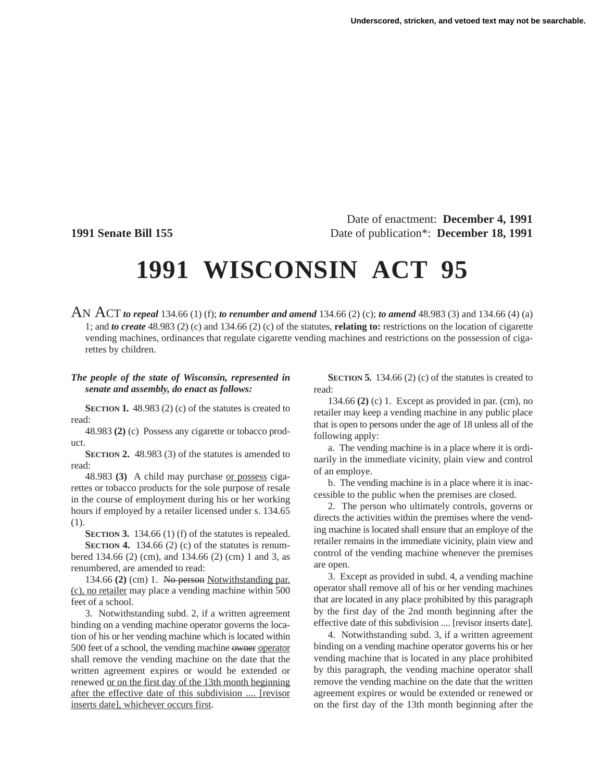Date of enactment: **December 4, 1991 1991 Senate Bill 155** Date of publication\*: **December 18, 1991**

## **1991 WISCONSIN ACT 95**

AN ACT *to repeal* 134.66 (1) (f); *to renumber and amend* 134.66 (2) (c); *to amend* 48.983 (3) and 134.66 (4) (a) 1; and *to create* 48.983 (2) (c) and 134.66 (2) (c) of the statutes, **relating to:** restrictions on the location of cigarette vending machines, ordinances that regulate cigarette vending machines and restrictions on the possession of cigarettes by children.

## *The people of the state of Wisconsin, represented in senate and assembly, do enact as follows:*

**SECTION 1.** 48.983 (2) (c) of the statutes is created to read:

48.983 **(2)** (c) Possess any cigarette or tobacco product.

**SECTION 2.** 48.983 (3) of the statutes is amended to read:

48.983 **(3)** A child may purchase or possess cigarettes or tobacco products for the sole purpose of resale in the course of employment during his or her working hours if employed by a retailer licensed under s. 134.65 (1).

**SECTION 3.** 134.66 (1) (f) of the statutes is repealed. **SECTION 4.** 134.66 (2) (c) of the statutes is renumbered 134.66 (2) (cm), and 134.66 (2) (cm) 1 and 3, as renumbered, are amended to read:

134.66 **(2)** (cm) 1. No person Notwithstanding par. (c), no retailer may place a vending machine within 500 feet of a school.

3. Notwithstanding subd. 2, if a written agreement binding on a vending machine operator governs the location of his or her vending machine which is located within 500 feet of a school, the vending machine owner operator shall remove the vending machine on the date that the written agreement expires or would be extended or renewed or on the first day of the 13th month beginning after the effective date of this subdivision .... [revisor inserts date], whichever occurs first.

**SECTION 5.** 134.66 (2) (c) of the statutes is created to read:

134.66 **(2)** (c) 1. Except as provided in par. (cm), no retailer may keep a vending machine in any public place that is open to persons under the age of 18 unless all of the following apply:

a. The vending machine is in a place where it is ordinarily in the immediate vicinity, plain view and control of an employe.

b. The vending machine is in a place where it is inaccessible to the public when the premises are closed.

2. The person who ultimately controls, governs or directs the activities within the premises where the vending machine is located shall ensure that an employe of the retailer remains in the immediate vicinity, plain view and control of the vending machine whenever the premises are open.

3. Except as provided in subd. 4, a vending machine operator shall remove all of his or her vending machines that are located in any place prohibited by this paragraph by the first day of the 2nd month beginning after the effective date of this subdivision .... [revisor inserts date].

4. Notwithstanding subd. 3, if a written agreement binding on a vending machine operator governs his or her vending machine that is located in any place prohibited by this paragraph, the vending machine operator shall remove the vending machine on the date that the written agreement expires or would be extended or renewed or on the first day of the 13th month beginning after the